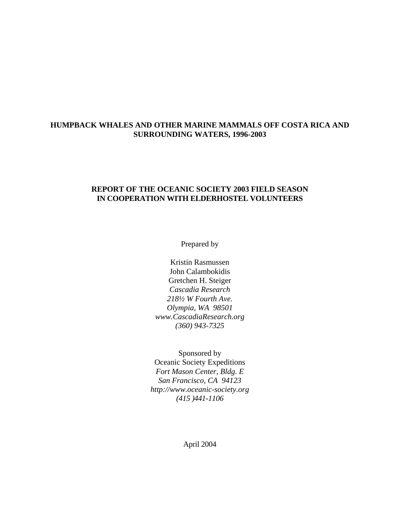# **HUMPBACK WHALES AND OTHER MARINE MAMMALS OFF COSTA RICA AND SURROUNDING WATERS, 1996-2003**

## **REPORT OF THE OCEANIC SOCIETY 2003 FIELD SEASON IN COOPERATION WITH ELDERHOSTEL VOLUNTEERS**

Prepared by

Kristin Rasmussen John Calambokidis Gretchen H. Steiger *Cascadia Research 218½ W Fourth Ave. Olympia, WA 98501 www.CascadiaResearch.org (360) 943-7325*

Sponsored by Oceanic Society Expeditions *Fort Mason Center, Bldg. E San Francisco, CA 94123 http://www.oceanic-society.org (415 )441-1106*

April 2004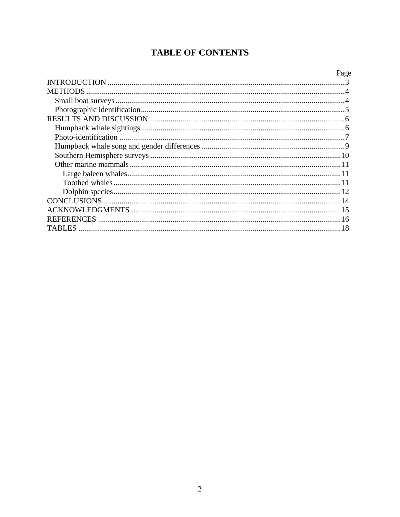# **TABLE OF CONTENTS**

|         | Page |
|---------|------|
|         |      |
|         |      |
|         |      |
|         |      |
|         |      |
|         |      |
|         |      |
|         |      |
|         |      |
|         |      |
|         |      |
|         |      |
|         |      |
|         |      |
|         |      |
|         |      |
| TABLES. |      |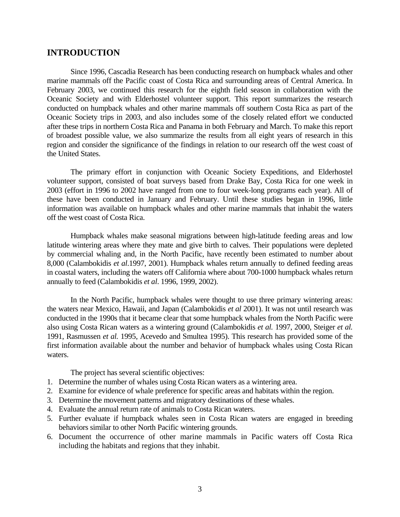# <span id="page-2-0"></span>**INTRODUCTION**

Since 1996, Cascadia Research has been conducting research on humpback whales and other marine mammals off the Pacific coast of Costa Rica and surrounding areas of Central America. In February 2003, we continued this research for the eighth field season in collaboration with the Oceanic Society and with Elderhostel volunteer support. This report summarizes the research conducted on humpback whales and other marine mammals off southern Costa Rica as part of the Oceanic Society trips in 2003, and also includes some of the closely related effort we conducted after these trips in northern Costa Rica and Panama in both February and March. To make this report of broadest possible value, we also summarize the results from all eight years of research in this region and consider the significance of the findings in relation to our research off the west coast of the United States.

The primary effort in conjunction with Oceanic Society Expeditions, and Elderhostel volunteer support, consisted of boat surveys based from Drake Bay, Costa Rica for one week in 2003 (effort in 1996 to 2002 have ranged from one to four week-long programs each year). All of these have been conducted in January and February. Until these studies began in 1996, little information was available on humpback whales and other marine mammals that inhabit the waters off the west coast of Costa Rica.

Humpback whales make seasonal migrations between high-latitude feeding areas and low latitude wintering areas where they mate and give birth to calves. Their populations were depleted by commercial whaling and, in the North Pacific, have recently been estimated to number about 8,000 (Calambokidis *et al*.1997, 2001). Humpback whales return annually to defined feeding areas in coastal waters, including the waters off California where about 700-1000 humpback whales return annually to feed (Calambokidis *et al*. 1996, 1999, 2002).

In the North Pacific, humpback whales were thought to use three primary wintering areas: the waters near Mexico, Hawaii, and Japan (Calambokidis *et al* 2001). It was not until research was conducted in the 1990s that it became clear that some humpback whales from the North Pacific were also using Costa Rican waters as a wintering ground (Calambokidis *et al.* 1997, 2000, Steiger *et al.* 1991, Rasmussen *et al.* 1995, Acevedo and Smultea 1995). This research has provided some of the first information available about the number and behavior of humpback whales using Costa Rican waters.

The project has several scientific objectives:

- 1. Determine the number of whales using Costa Rican waters as a wintering area.
- 2. Examine for evidence of whale preference for specific areas and habitats within the region.
- 3. Determine the movement patterns and migratory destinations of these whales.
- 4. Evaluate the annual return rate of animals to Costa Rican waters.
- 5. Further evaluate if humpback whales seen in Costa Rican waters are engaged in breeding behaviors similar to other North Pacific wintering grounds.
- 6. Document the occurrence of other marine mammals in Pacific waters off Costa Rica including the habitats and regions that they inhabit.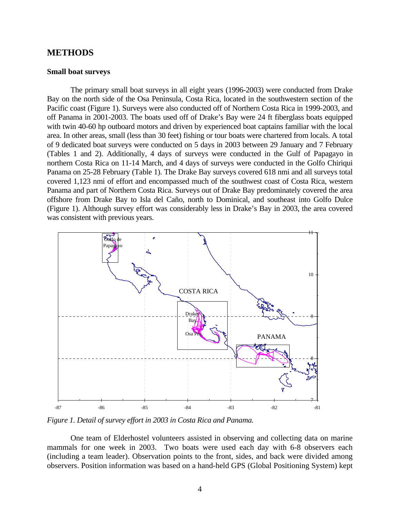## <span id="page-3-0"></span>**METHODS**

#### **Small boat surveys**

The primary small boat surveys in all eight years (1996-2003) were conducted from Drake Bay on the north side of the Osa Peninsula, Costa Rica, located in the southwestern section of the Pacific coast (Figure 1). Surveys were also conducted off of Northern Costa Rica in 1999-2003, and off Panama in 2001-2003. The boats used off of Drake's Bay were 24 ft fiberglass boats equipped with twin 40-60 hp outboard motors and driven by experienced boat captains familiar with the local area. In other areas, small (less than 30 feet) fishing or tour boats were chartered from locals. A total of 9 dedicated boat surveys were conducted on 5 days in 2003 between 29 January and 7 February (Tables 1 and 2). Additionally, 4 days of surveys were conducted in the Gulf of Papagayo in northern Costa Rica on 11-14 March, and 4 days of surveys were conducted in the Golfo Chiriqui Panama on 25-28 February (Table 1). The Drake Bay surveys covered 618 nmi and all surveys total covered 1,123 nmi of effort and encompassed much of the southwest coast of Costa Rica, western Panama and part of Northern Costa Rica. Surveys out of Drake Bay predominately covered the area offshore from Drake Bay to Isla del Caño, north to Dominical, and southeast into Golfo Dulce (Figure 1). Although survey effort was considerably less in Drake's Bay in 2003, the area covered was consistent with previous years.



*Figure 1. Detail of survey effort in 2003 in Costa Rica and Panama.* 

One team of Elderhostel volunteers assisted in observing and collecting data on marine mammals for one week in 2003. Two boats were used each day with 6-8 observers each (including a team leader). Observation points to the front, sides, and back were divided among observers. Position information was based on a hand-held GPS (Global Positioning System) kept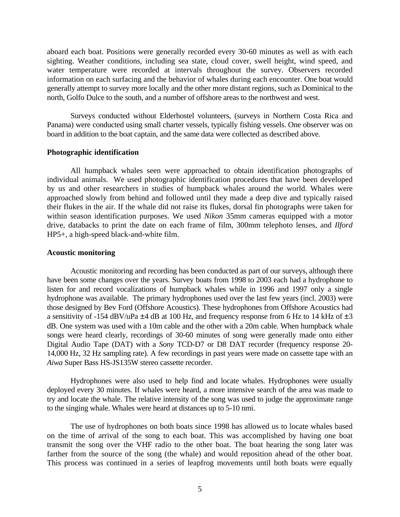<span id="page-4-0"></span>aboard each boat. Positions were generally recorded every 30-60 minutes as well as with each sighting. Weather conditions, including sea state, cloud cover, swell height, wind speed, and water temperature were recorded at intervals throughout the survey. Observers recorded information on each surfacing and the behavior of whales during each encounter. One boat would generally attempt to survey more locally and the other more distant regions, such as Dominical to the north, Golfo Dulce to the south, and a number of offshore areas to the northwest and west.

Surveys conducted without Elderhostel volunteers, (surveys in Northern Costa Rica and Panama) were conducted using small charter vessels, typically fishing vessels. One observer was on board in addition to the boat captain, and the same data were collected as described above.

#### **Photographic identification**

All humpback whales seen were approached to obtain identification photographs of individual animals. We used photographic identification procedures that have been developed by us and other researchers in studies of humpback whales around the world. Whales were approached slowly from behind and followed until they made a deep dive and typically raised their flukes in the air. If the whale did not raise its flukes, dorsal fin photographs were taken for within season identification purposes. We used *Nikon* 35mm cameras equipped with a motor drive, databacks to print the date on each frame of film, 300mm telephoto lenses, and *Ilford* HP5+, a high-speed black-and-white film.

#### **Acoustic monitoring**

Acoustic monitoring and recording has been conducted as part of our surveys, although there have been some changes over the years. Survey boats from 1998 to 2003 each had a hydrophone to listen for and record vocalizations of humpback whales while in 1996 and 1997 only a single hydrophone was available. The primary hydrophones used over the last few years (incl. 2003) were those designed by Bev Ford (Offshore Acoustics). These hydrophones from Offshore Acoustics had a sensitivity of -154 dBV/uPa  $\pm$ 4 dB at 100 Hz, and frequency response from 6 Hz to 14 kHz of  $\pm$ 3 dB. One system was used with a 10m cable and the other with a 20m cable. When humpback whale songs were heard clearly, recordings of 30-60 minutes of song were generally made onto either Digital Audio Tape (DAT) with a *Sony* TCD-D7 or D8 DAT recorder (frequency response 20- 14,000 Hz, 32 Hz sampling rate). A few recordings in past years were made on cassette tape with an *Aiwa* Super Bass HS-JS135W stereo cassette recorder.

Hydrophones were also used to help find and locate whales. Hydrophones were usually deployed every 30 minutes. If whales were heard, a more intensive search of the area was made to try and locate the whale. The relative intensity of the song was used to judge the approximate range to the singing whale. Whales were heard at distances up to 5-10 nmi.

The use of hydrophones on both boats since 1998 has allowed us to locate whales based on the time of arrival of the song to each boat. This was accomplished by having one boat transmit the song over the VHF radio to the other boat. The boat hearing the song later was farther from the source of the song (the whale) and would reposition ahead of the other boat. This process was continued in a series of leapfrog movements until both boats were equally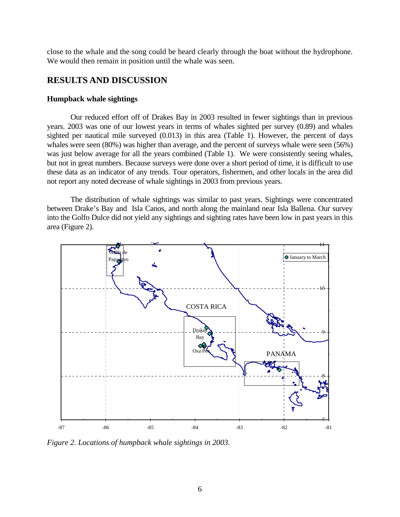<span id="page-5-0"></span>close to the whale and the song could be heard clearly through the boat without the hydrophone. We would then remain in position until the whale was seen.

# **RESULTS AND DISCUSSION**

#### **Humpback whale sightings**

Our reduced effort off of Drakes Bay in 2003 resulted in fewer sightings than in previous years. 2003 was one of our lowest years in terms of whales sighted per survey (0.89) and whales sighted per nautical mile surveyed (0.013) in this area (Table 1). However, the percent of days whales were seen (80%) was higher than average, and the percent of surveys whale were seen (56%) was just below average for all the years combined (Table 1). We were consistently seeing whales, but not in great numbers. Because surveys were done over a short period of time, it is difficult to use these data as an indicator of any trends. Tour operators, fishermen, and other locals in the area did not report any noted decrease of whale sightings in 2003 from previous years.

The distribution of whale sightings was similar to past years. Sightings were concentrated between Drake's Bay and Isla Canos, and north along the mainland near Isla Ballena. Our survey into the Golfo Dulce did not yield any sightings and sighting rates have been low in past years in this area (Figure 2).



*Figure 2. Locations of humpback whale sightings in 2003.*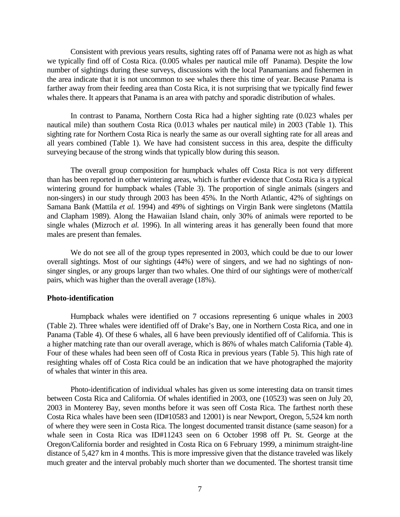<span id="page-6-0"></span>Consistent with previous years results, sighting rates off of Panama were not as high as what we typically find off of Costa Rica. (0.005 whales per nautical mile off Panama). Despite the low number of sightings during these surveys, discussions with the local Panamanians and fishermen in the area indicate that it is not uncommon to see whales there this time of year. Because Panama is farther away from their feeding area than Costa Rica, it is not surprising that we typically find fewer whales there. It appears that Panama is an area with patchy and sporadic distribution of whales.

In contrast to Panama, Northern Costa Rica had a higher sighting rate (0.023 whales per nautical mile) than southern Costa Rica (0.013 whales per nautical mile) in 2003 (Table 1). This sighting rate for Northern Costa Rica is nearly the same as our overall sighting rate for all areas and all years combined (Table 1). We have had consistent success in this area, despite the difficulty surveying because of the strong winds that typically blow during this season.

The overall group composition for humpback whales off Costa Rica is not very different than has been reported in other wintering areas, which is further evidence that Costa Rica is a typical wintering ground for humpback whales (Table 3). The proportion of single animals (singers and non-singers) in our study through 2003 has been 45%. In the North Atlantic, 42% of sightings on Samana Bank (Mattila *et al.* 1994) and 49% of sightings on Virgin Bank were singletons (Mattila and Clapham 1989). Along the Hawaiian Island chain, only 30% of animals were reported to be single whales (Mizroch *et al.* 1996). In all wintering areas it has generally been found that more males are present than females.

We do not see all of the group types represented in 2003, which could be due to our lower overall sightings. Most of our sightings (44%) were of singers, and we had no sightings of nonsinger singles, or any groups larger than two whales. One third of our sightings were of mother/calf pairs, which was higher than the overall average (18%).

#### **Photo-identification**

Humpback whales were identified on 7 occasions representing 6 unique whales in 2003 (Table 2). Three whales were identified off of Drake's Bay, one in Northern Costa Rica, and one in Panama (Table 4). Of these 6 whales, all 6 have been previously identified off of California. This is a higher matching rate than our overall average, which is 86% of whales match California (Table 4). Four of these whales had been seen off of Costa Rica in previous years (Table 5). This high rate of resighting whales off of Costa Rica could be an indication that we have photographed the majority of whales that winter in this area.

Photo-identification of individual whales has given us some interesting data on transit times between Costa Rica and California. Of whales identified in 2003, one (10523) was seen on July 20, 2003 in Monterey Bay, seven months before it was seen off Costa Rica. The farthest north these Costa Rica whales have been seen (ID#10583 and 12001) is near Newport, Oregon, 5,524 km north of where they were seen in Costa Rica. The longest documented transit distance (same season) for a whale seen in Costa Rica was ID#11243 seen on 6 October 1998 off Pt. St. George at the Oregon/California border and resighted in Costa Rica on 6 February 1999, a minimum straight-line distance of 5,427 km in 4 months. This is more impressive given that the distance traveled was likely much greater and the interval probably much shorter than we documented. The shortest transit time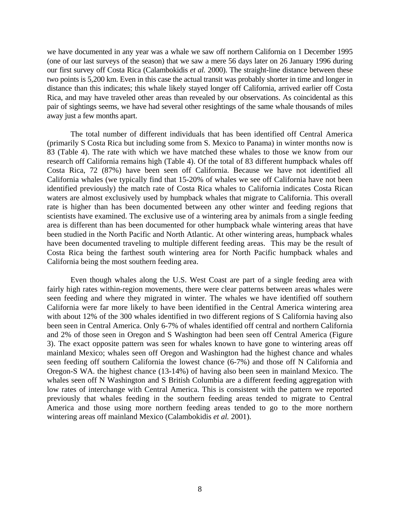we have documented in any year was a whale we saw off northern California on 1 December 1995 (one of our last surveys of the season) that we saw a mere 56 days later on 26 January 1996 during our first survey off Costa Rica (Calambokidis *et al.* 2000). The straight-line distance between these two points is 5,200 km. Even in this case the actual transit was probably shorter in time and longer in distance than this indicates; this whale likely stayed longer off California, arrived earlier off Costa Rica, and may have traveled other areas than revealed by our observations. As coincidental as this pair of sightings seems, we have had several other resightings of the same whale thousands of miles away just a few months apart.

The total number of different individuals that has been identified off Central America (primarily S Costa Rica but including some from S. Mexico to Panama) in winter months now is 83 (Table 4). The rate with which we have matched these whales to those we know from our research off California remains high (Table 4). Of the total of 83 different humpback whales off Costa Rica, 72 (87%) have been seen off California. Because we have not identified all California whales (we typically find that 15-20% of whales we see off California have not been identified previously) the match rate of Costa Rica whales to California indicates Costa Rican waters are almost exclusively used by humpback whales that migrate to California. This overall rate is higher than has been documented between any other winter and feeding regions that scientists have examined. The exclusive use of a wintering area by animals from a single feeding area is different than has been documented for other humpback whale wintering areas that have been studied in the North Pacific and North Atlantic. At other wintering areas, humpback whales have been documented traveling to multiple different feeding areas. This may be the result of Costa Rica being the farthest south wintering area for North Pacific humpback whales and California being the most southern feeding area.

Even though whales along the U.S. West Coast are part of a single feeding area with fairly high rates within-region movements, there were clear patterns between areas whales were seen feeding and where they migrated in winter. The whales we have identified off southern California were far more likely to have been identified in the Central America wintering area with about 12% of the 300 whales identified in two different regions of S California having also been seen in Central America. Only 6-7% of whales identified off central and northern California and 2% of those seen in Oregon and S Washington had been seen off Central America (Figure 3). The exact opposite pattern was seen for whales known to have gone to wintering areas off mainland Mexico; whales seen off Oregon and Washington had the highest chance and whales seen feeding off southern California the lowest chance (6-7%) and those off N California and Oregon-S WA. the highest chance (13-14%) of having also been seen in mainland Mexico. The whales seen off N Washington and S British Columbia are a different feeding aggregation with low rates of interchange with Central America. This is consistent with the pattern we reported previously that whales feeding in the southern feeding areas tended to migrate to Central America and those using more northern feeding areas tended to go to the more northern wintering areas off mainland Mexico (Calambokidis *et al.* 2001).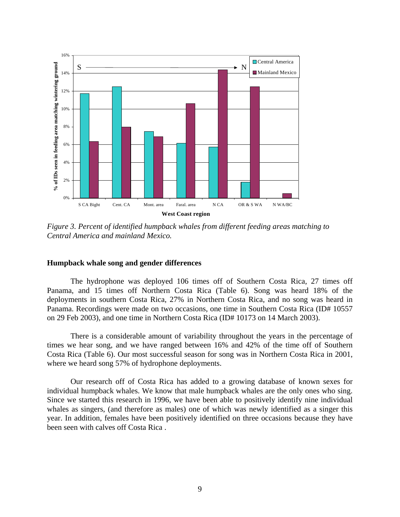<span id="page-8-0"></span>

*Figure 3. Percent of identified humpback whales from different feeding areas matching to Central America and mainland Mexico.* 

#### **Humpback whale song and gender differences**

The hydrophone was deployed 106 times off of Southern Costa Rica, 27 times off Panama, and 15 times off Northern Costa Rica (Table 6). Song was heard 18% of the deployments in southern Costa Rica, 27% in Northern Costa Rica, and no song was heard in Panama. Recordings were made on two occasions, one time in Southern Costa Rica (ID# 10557 on 29 Feb 2003), and one time in Northern Costa Rica (ID# 10173 on 14 March 2003).

There is a considerable amount of variability throughout the years in the percentage of times we hear song, and we have ranged between 16% and 42% of the time off of Southern Costa Rica (Table 6). Our most successful season for song was in Northern Costa Rica in 2001, where we heard song 57% of hydrophone deployments.

Our research off of Costa Rica has added to a growing database of known sexes for individual humpback whales. We know that male humpback whales are the only ones who sing. Since we started this research in 1996, we have been able to positively identify nine individual whales as singers, (and therefore as males) one of which was newly identified as a singer this year. In addition, females have been positively identified on three occasions because they have been seen with calves off Costa Rica .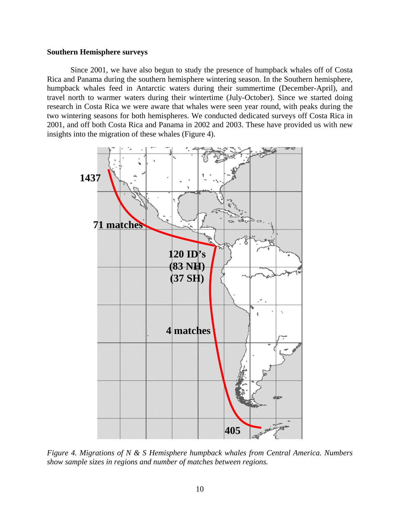#### <span id="page-9-0"></span>**Southern Hemisphere surveys**

Since 2001, we have also begun to study the presence of humpback whales off of Costa Rica and Panama during the southern hemisphere wintering season. In the Southern hemisphere, humpback whales feed in Antarctic waters during their summertime (December-April), and travel north to warmer waters during their wintertime (July-October). Since we started doing research in Costa Rica we were aware that whales were seen year round, with peaks during the two wintering seasons for both hemispheres. We conducted dedicated surveys off Costa Rica in 2001, and off both Costa Rica and Panama in 2002 and 2003. These have provided us with new insights into the migration of these whales (Figure 4).



*Figure 4. Migrations of N & S Hemisphere humpback whales from Central America. Numbers show sample sizes in regions and number of matches between regions.*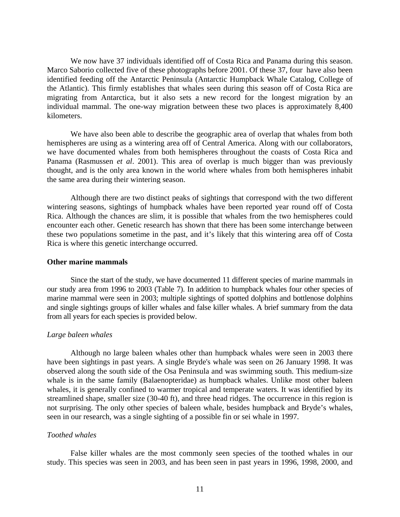<span id="page-10-0"></span>We now have 37 individuals identified off of Costa Rica and Panama during this season. Marco Saborio collected five of these photographs before 2001. Of these 37, four have also been identified feeding off the Antarctic Peninsula (Antarctic Humpback Whale Catalog, College of the Atlantic). This firmly establishes that whales seen during this season off of Costa Rica are migrating from Antarctica, but it also sets a new record for the longest migration by an individual mammal. The one-way migration between these two places is approximately 8,400 kilometers.

We have also been able to describe the geographic area of overlap that whales from both hemispheres are using as a wintering area off of Central America. Along with our collaborators, we have documented whales from both hemispheres throughout the coasts of Costa Rica and Panama (Rasmussen *et al*. 2001). This area of overlap is much bigger than was previously thought, and is the only area known in the world where whales from both hemispheres inhabit the same area during their wintering season.

Although there are two distinct peaks of sightings that correspond with the two different wintering seasons, sightings of humpback whales have been reported year round off of Costa Rica. Although the chances are slim, it is possible that whales from the two hemispheres could encounter each other. Genetic research has shown that there has been some interchange between these two populations sometime in the past, and it's likely that this wintering area off of Costa Rica is where this genetic interchange occurred.

#### **Other marine mammals**

Since the start of the study, we have documented 11 different species of marine mammals in our study area from 1996 to 2003 (Table 7). In addition to humpback whales four other species of marine mammal were seen in 2003; multiple sightings of spotted dolphins and bottlenose dolphins and single sightings groups of killer whales and false killer whales. A brief summary from the data from all years for each species is provided below.

#### *Large baleen whales*

Although no large baleen whales other than humpback whales were seen in 2003 there have been sightings in past years. A single Bryde's whale was seen on 26 January 1998. It was observed along the south side of the Osa Peninsula and was swimming south. This medium-size whale is in the same family (Balaenopteridae) as humpback whales. Unlike most other baleen whales, it is generally confined to warmer tropical and temperate waters. It was identified by its streamlined shape, smaller size (30-40 ft), and three head ridges. The occurrence in this region is not surprising. The only other species of baleen whale, besides humpback and Bryde's whales, seen in our research, was a single sighting of a possible fin or sei whale in 1997.

#### *Toothed whales*

False killer whales are the most commonly seen species of the toothed whales in our study. This species was seen in 2003, and has been seen in past years in 1996, 1998, 2000, and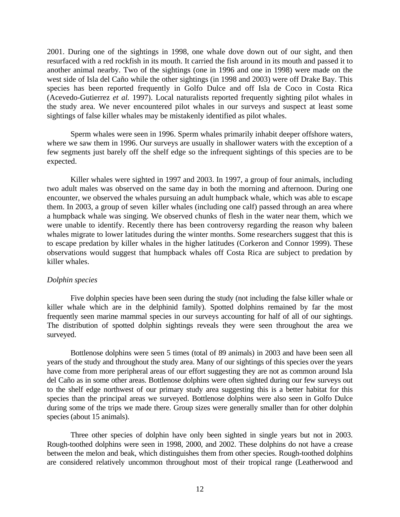<span id="page-11-0"></span>2001. During one of the sightings in 1998, one whale dove down out of our sight, and then resurfaced with a red rockfish in its mouth. It carried the fish around in its mouth and passed it to another animal nearby. Two of the sightings (one in 1996 and one in 1998) were made on the west side of Isla del Caño while the other sightings (in 1998 and 2003) were off Drake Bay. This species has been reported frequently in Golfo Dulce and off Isla de Coco in Costa Rica (Acevedo-Gutierrez *et al.* 1997). Local naturalists reported frequently sighting pilot whales in the study area. We never encountered pilot whales in our surveys and suspect at least some sightings of false killer whales may be mistakenly identified as pilot whales.

Sperm whales were seen in 1996. Sperm whales primarily inhabit deeper offshore waters, where we saw them in 1996. Our surveys are usually in shallower waters with the exception of a few segments just barely off the shelf edge so the infrequent sightings of this species are to be expected.

Killer whales were sighted in 1997 and 2003. In 1997, a group of four animals, including two adult males was observed on the same day in both the morning and afternoon. During one encounter, we observed the whales pursuing an adult humpback whale, which was able to escape them. In 2003, a group of seven killer whales (including one calf) passed through an area where a humpback whale was singing. We observed chunks of flesh in the water near them, which we were unable to identify. Recently there has been controversy regarding the reason why baleen whales migrate to lower latitudes during the winter months. Some researchers suggest that this is to escape predation by killer whales in the higher latitudes (Corkeron and Connor 1999). These observations would suggest that humpback whales off Costa Rica are subject to predation by killer whales.

#### *Dolphin species*

Five dolphin species have been seen during the study (not including the false killer whale or killer whale which are in the delphinid family). Spotted dolphins remained by far the most frequently seen marine mammal species in our surveys accounting for half of all of our sightings. The distribution of spotted dolphin sightings reveals they were seen throughout the area we surveyed.

Bottlenose dolphins were seen 5 times (total of 89 animals) in 2003 and have been seen all years of the study and throughout the study area. Many of our sightings of this species over the years have come from more peripheral areas of our effort suggesting they are not as common around Isla del Caño as in some other areas. Bottlenose dolphins were often sighted during our few surveys out to the shelf edge northwest of our primary study area suggesting this is a better habitat for this species than the principal areas we surveyed. Bottlenose dolphins were also seen in Golfo Dulce during some of the trips we made there. Group sizes were generally smaller than for other dolphin species (about 15 animals).

Three other species of dolphin have only been sighted in single years but not in 2003. Rough-toothed dolphins were seen in 1998, 2000, and 2002. These dolphins do not have a crease between the melon and beak, which distinguishes them from other species. Rough-toothed dolphins are considered relatively uncommon throughout most of their tropical range (Leatherwood and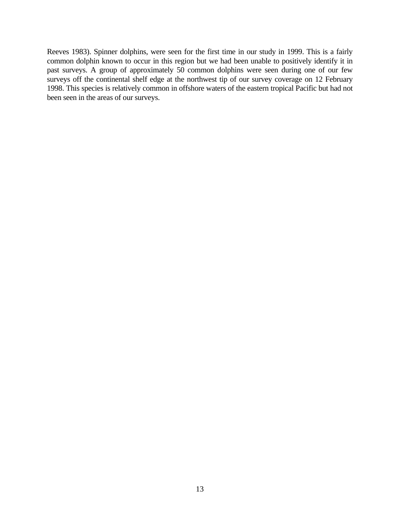Reeves 1983). Spinner dolphins, were seen for the first time in our study in 1999. This is a fairly common dolphin known to occur in this region but we had been unable to positively identify it in past surveys. A group of approximately 50 common dolphins were seen during one of our few surveys off the continental shelf edge at the northwest tip of our survey coverage on 12 February 1998. This species is relatively common in offshore waters of the eastern tropical Pacific but had not been seen in the areas of our surveys.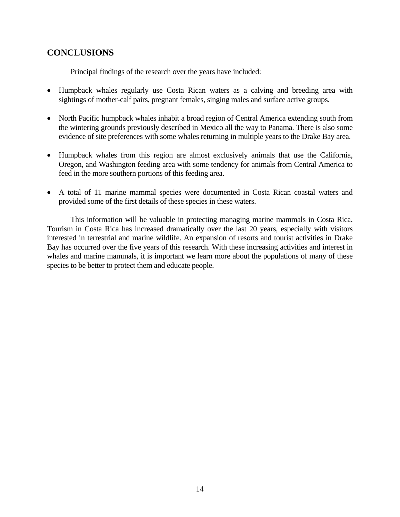# <span id="page-13-0"></span>**CONCLUSIONS**

Principal findings of the research over the years have included:

- Humpback whales regularly use Costa Rican waters as a calving and breeding area with sightings of mother-calf pairs, pregnant females, singing males and surface active groups.
- North Pacific humpback whales inhabit a broad region of Central America extending south from the wintering grounds previously described in Mexico all the way to Panama. There is also some evidence of site preferences with some whales returning in multiple years to the Drake Bay area.
- Humpback whales from this region are almost exclusively animals that use the California, Oregon, and Washington feeding area with some tendency for animals from Central America to feed in the more southern portions of this feeding area.
- A total of 11 marine mammal species were documented in Costa Rican coastal waters and provided some of the first details of these species in these waters.

This information will be valuable in protecting managing marine mammals in Costa Rica. Tourism in Costa Rica has increased dramatically over the last 20 years, especially with visitors interested in terrestrial and marine wildlife. An expansion of resorts and tourist activities in Drake Bay has occurred over the five years of this research. With these increasing activities and interest in whales and marine mammals, it is important we learn more about the populations of many of these species to be better to protect them and educate people.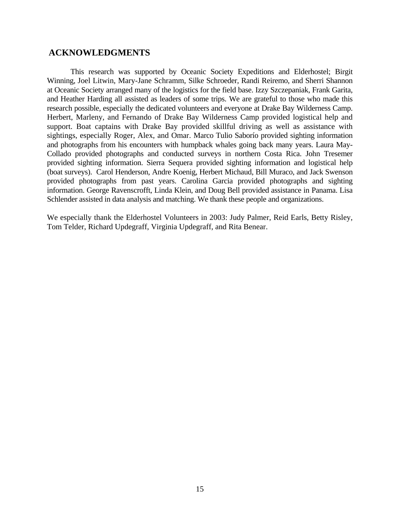# <span id="page-14-0"></span> **ACKNOWLEDGMENTS**

This research was supported by Oceanic Society Expeditions and Elderhostel; Birgit Winning, Joel Litwin, Mary-Jane Schramm, Silke Schroeder, Randi Reiremo, and Sherri Shannon at Oceanic Society arranged many of the logistics for the field base. Izzy Szczepaniak, Frank Garita, and Heather Harding all assisted as leaders of some trips. We are grateful to those who made this research possible, especially the dedicated volunteers and everyone at Drake Bay Wilderness Camp. Herbert, Marleny, and Fernando of Drake Bay Wilderness Camp provided logistical help and support. Boat captains with Drake Bay provided skillful driving as well as assistance with sightings, especially Roger, Alex, and Omar. Marco Tulio Saborío provided sighting information and photographs from his encounters with humpback whales going back many years. Laura May-Collado provided photographs and conducted surveys in northern Costa Rica. John Tresemer provided sighting information. Sierra Sequera provided sighting information and logistical help (boat surveys). Carol Henderson, Andre Koenig, Herbert Michaud, Bill Muraco, and Jack Swenson provided photographs from past years. Carolina Garcia provided photographs and sighting information. George Ravenscrofft, Linda Klein, and Doug Bell provided assistance in Panama. Lisa Schlender assisted in data analysis and matching. We thank these people and organizations.

We especially thank the Elderhostel Volunteers in 2003: Judy Palmer, Reid Earls, Betty Risley, Tom Telder, Richard Updegraff, Virginia Updegraff, and Rita Benear.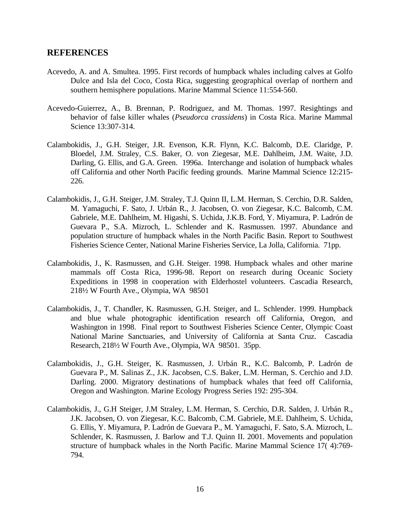# <span id="page-15-0"></span>**REFERENCES**

- Acevedo, A. and A. Smultea. 1995. First records of humpback whales including calves at Golfo Dulce and Isla del Coco, Costa Rica, suggesting geographical overlap of northern and southern hemisphere populations. Marine Mammal Science 11:554-560.
- Acevedo-Guierrez, A., B. Brennan, P. Rodriguez, and M. Thomas. 1997. Resightings and behavior of false killer whales (*Pseudorca crassidens*) in Costa Rica. Marine Mammal Science 13:307-314.
- Calambokidis, J., G.H. Steiger, J.R. Evenson, K.R. Flynn, K.C. Balcomb, D.E. Claridge, P. Bloedel, J.M. Straley, C.S. Baker, O. von Ziegesar, M.E. Dahlheim, J.M. Waite, J.D. Darling, G. Ellis, and G.A. Green. 1996a. Interchange and isolation of humpback whales off California and other North Pacific feeding grounds. Marine Mammal Science 12:215- 226.
- Calambokidis, J., G.H. Steiger, J.M. Straley, T.J. Quinn II, L.M. Herman, S. Cerchio, D.R. Salden, M. Yamaguchi, F. Sato, J. Urbán R., J. Jacobsen, O. von Ziegesar, K.C. Balcomb, C.M. Gabriele, M.E. Dahlheim, M. Higashi, S. Uchida, J.K.B. Ford, Y. Miyamura, P. Ladrón de Guevara P., S.A. Mizroch, L. Schlender and K. Rasmussen. 1997. Abundance and population structure of humpback whales in the North Pacific Basin. Report to Southwest Fisheries Science Center, National Marine Fisheries Service, La Jolla, California. 71pp.
- Calambokidis, J., K. Rasmussen, and G.H. Steiger. 1998. Humpback whales and other marine mammals off Costa Rica, 1996-98. Report on research during Oceanic Society Expeditions in 1998 in cooperation with Elderhostel volunteers. Cascadia Research, 218½ W Fourth Ave., Olympia, WA 98501
- Calambokidis, J., T. Chandler, K. Rasmussen, G.H. Steiger, and L. Schlender. 1999. Humpback and blue whale photographic identification research off California, Oregon, and Washington in 1998. Final report to Southwest Fisheries Science Center, Olympic Coast National Marine Sanctuaries, and University of California at Santa Cruz. Cascadia Research, 218½ W Fourth Ave., Olympia, WA 98501. 35pp.
- Calambokidis, J., G.H. Steiger, K. Rasmussen, J. Urbán R., K.C. Balcomb, P. Ladrón de Guevara P., M. Salinas Z., J.K. Jacobsen, C.S. Baker, L.M. Herman, S. Cerchio and J.D. Darling. 2000. Migratory destinations of humpback whales that feed off California, Oregon and Washington. Marine Ecology Progress Series 192: 295-304.
- Calambokidis, J., G.H Steiger, J.M Straley, L.M. Herman, S. Cerchio, D.R. Salden, J. Urbán R., J.K. Jacobsen, O. von Ziegesar, K.C. Balcomb, C.M. Gabriele, M.E. Dahlheim, S. Uchida, G. Ellis, Y. Miyamura, P. Ladrón de Guevara P., M. Yamaguchi, F. Sato, S.A. Mizroch, L. Schlender, K. Rasmussen, J. Barlow and T.J. Quinn II. 2001. Movements and population structure of humpback whales in the North Pacific. Marine Mammal Science 17( 4):769- 794.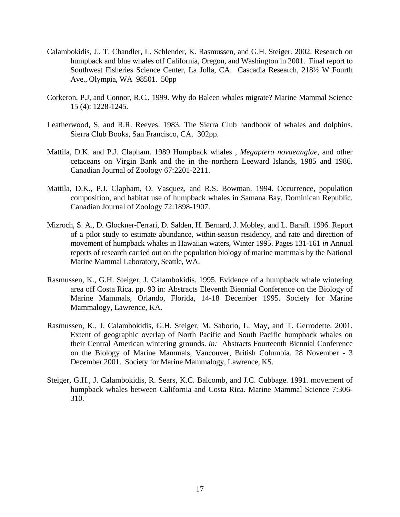- Calambokidis, J., T. Chandler, L. Schlender, K. Rasmussen, and G.H. Steiger. 2002. Research on humpback and blue whales off California, Oregon, and Washington in 2001. Final report to Southwest Fisheries Science Center, La Jolla, CA. Cascadia Research, 218½ W Fourth Ave., Olympia, WA 98501. 50pp
- Corkeron, P.J, and Connor, R.C., 1999. Why do Baleen whales migrate? Marine Mammal Science 15 (4): 1228-1245.
- Leatherwood, S, and R.R. Reeves. 1983. The Sierra Club handbook of whales and dolphins. Sierra Club Books, San Francisco, CA. 302pp.
- Mattila, D.K. and P.J. Clapham. 1989 Humpback whales , *Megaptera novaeanglae*, and other cetaceans on Virgin Bank and the in the northern Leeward Islands, 1985 and 1986. Canadian Journal of Zoology 67:2201-2211.
- Mattila, D.K., P.J. Clapham, O. Vasquez, and R.S. Bowman. 1994. Occurrence, population composition, and habitat use of humpback whales in Samana Bay, Dominican Republic. Canadian Journal of Zoology 72:1898-1907.
- Mizroch, S. A., D. Glockner-Ferrari, D. Salden, H. Bernard, J. Mobley, and L. Baraff. 1996. Report of a pilot study to estimate abundance, within-season residency, and rate and direction of movement of humpback whales in Hawaiian waters, Winter 1995. Pages 131-161 *in* Annual reports of research carried out on the population biology of marine mammals by the National Marine Mammal Laboratory, Seattle, WA.
- Rasmussen, K., G.H. Steiger, J. Calambokidis. 1995. Evidence of a humpback whale wintering area off Costa Rica. pp. 93 in: Abstracts Eleventh Biennial Conference on the Biology of Marine Mammals, Orlando, Florida, 14-18 December 1995. Society for Marine Mammalogy, Lawrence, KA.
- Rasmussen, K., J. Calambokidis, G.H. Steiger, M. Saborío, L. May, and T. Gerrodette. 2001. Extent of geographic overlap of North Pacific and South Pacific humpback whales on their Central American wintering grounds. *in:* Abstracts Fourteenth Biennial Conference on the Biology of Marine Mammals, Vancouver, British Columbia. 28 November - 3 December 2001. Society for Marine Mammalogy, Lawrence, KS.
- Steiger, G.H., J. Calambokidis, R. Sears, K.C. Balcomb, and J.C. Cubbage. 1991. movement of humpback whales between California and Costa Rica. Marine Mammal Science 7:306- 310.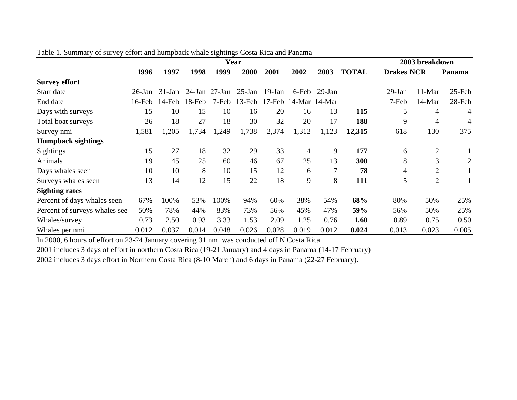|                               |           |           |           |                     | O<br>Year |           |                      |                |              |                   | 2003 breakdown |                |
|-------------------------------|-----------|-----------|-----------|---------------------|-----------|-----------|----------------------|----------------|--------------|-------------------|----------------|----------------|
|                               | 1996      | 1997      | 1998      | 1999                | 2000      | 2001      | 2002                 | 2003           | <b>TOTAL</b> | <b>Drakes NCR</b> |                | Panama         |
| <b>Survey effort</b>          |           |           |           |                     |           |           |                      |                |              |                   |                |                |
| Start date                    | $26$ -Jan | $31$ -Jan |           | $24$ -Jan $27$ -Jan | 25-Jan    | $19$ -Jan | 6-Feb                | $29$ -Jan      |              | 29-Jan            | $11-Mar$       | $25$ -Feb      |
| End date                      | $16$ -Feb | $14$ -Feb | $18$ -Feb | 7-Feb               | $13$ -Feb |           | 17-Feb 14-Mar 14-Mar |                |              | 7-Feb             | 14-Mar         | 28-Feb         |
| Days with surveys             | 15        | 10        | 15        | 10                  | 16        | 20        | 16                   | 13             | 115          | 5                 | $\overline{4}$ | 4              |
| Total boat surveys            | 26        | 18        | 27        | 18                  | 30        | 32        | 20                   | 17             | 188          | 9                 | $\overline{4}$ | 4              |
| Survey nmi                    | 1,581     | 1,205     | 1,734     | 1,249               | 1,738     | 2,374     | 1,312                | 1,123          | 12,315       | 618               | 130            | 375            |
| <b>Humpback sightings</b>     |           |           |           |                     |           |           |                      |                |              |                   |                |                |
| Sightings                     | 15        | 27        | 18        | 32                  | 29        | 33        | 14                   | 9              | 177          | 6                 | $\overline{2}$ |                |
| Animals                       | 19        | 45        | 25        | 60                  | 46        | 67        | 25                   | 13             | 300          | 8                 | 3              | $\overline{2}$ |
| Days whales seen              | 10        | 10        | 8         | 10                  | 15        | 12        | 6                    | $\overline{7}$ | 78           | 4                 | $\overline{2}$ |                |
| Surveys whales seen           | 13        | 14        | 12        | 15                  | 22        | 18        | 9                    | 8              | 111          | 5                 | $\overline{2}$ |                |
| <b>Sighting rates</b>         |           |           |           |                     |           |           |                      |                |              |                   |                |                |
| Percent of days whales seen   | 67%       | 100%      | 53%       | 100%                | 94%       | 60%       | 38%                  | 54%            | 68%          | 80%               | 50%            | 25%            |
| Percent of surveys whales see | 50%       | 78%       | 44%       | 83%                 | 73%       | 56%       | 45%                  | 47%            | 59%          | 56%               | 50%            | 25%            |
| Whales/survey                 | 0.73      | 2.50      | 0.93      | 3.33                | 1.53      | 2.09      | 1.25                 | 0.76           | 1.60         | 0.89              | 0.75           | 0.50           |
| Whales per nmi                | 0.012     | 0.037     | 0.014     | 0.048               | 0.026     | 0.028     | 0.019                | 0.012          | 0.024        | 0.013             | 0.023          | 0.005          |

Table 1. Summary of survey effort and humpback whale sightings Costa Rica and Panama

In 2000, 6 hours of effort on 23-24 January covering 31 nmi was conducted off N Costa Rica

2001 includes 3 days of effort in northern Costa Rica (19-21 January) and 4 days in Panama (14-17 February)

2002 includes 3 days effort in Northern Costa Rica (8-10 March) and 6 days in Panama (22-27 February).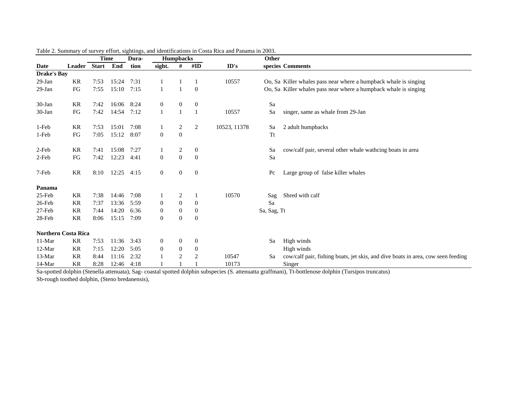|                            |            | <b>Time</b>  |       | Dura- |                  | <b>Humpbacks</b> |                  |              | Other       |                                                                                  |
|----------------------------|------------|--------------|-------|-------|------------------|------------------|------------------|--------------|-------------|----------------------------------------------------------------------------------|
| Date                       | Leader     | <b>Start</b> | End   | tion  | sight.           | #                | #ID              | ID's         |             | species Comments                                                                 |
| <b>Drake's Bay</b>         |            |              |       |       |                  |                  |                  |              |             |                                                                                  |
| $29-Ian$                   | <b>KR</b>  | 7:53         | 15:24 | 7:31  |                  |                  |                  | 10557        |             | Oo, Sa Killer whales pass near where a humpback whale is singing                 |
| $29$ -Jan                  | ${\rm FG}$ | 7:55         | 15:10 | 7:15  |                  |                  | $\theta$         |              |             | Oo, Sa Killer whales pass near where a humpback whale is singing                 |
| 30-Jan                     | <b>KR</b>  | 7:42         | 16:06 | 8:24  | $\mathbf{0}$     | $\overline{0}$   | $\mathbf{0}$     |              | Sa          |                                                                                  |
| 30-Jan                     | FG         | 7:42         | 14:54 | 7:12  |                  |                  |                  | 10557        | Sa          | singer, same as whale from 29-Jan                                                |
| 1-Feb                      | KR         | 7:53         | 15:01 | 7:08  |                  | 2                | $\overline{c}$   | 10523, 11378 | Sa          | 2 adult humpbacks                                                                |
| 1-Feb                      | FG         | 7:05         | 15:12 | 8:07  | $\boldsymbol{0}$ | $\boldsymbol{0}$ |                  |              | <b>Tt</b>   |                                                                                  |
| 2-Feb                      | <b>KR</b>  | 7:41         | 15:08 | 7:27  |                  | 2                | $\mathbf{0}$     |              | Sa          | cow/calf pair, several other whale wathcing boats in area                        |
| 2-Feb                      | FG         | 7:42         | 12:23 | 4:41  | $\boldsymbol{0}$ | $\boldsymbol{0}$ | $\mathbf{0}$     |              | Sa          |                                                                                  |
| 7-Feb                      | KR         | 8:10         | 12:25 | 4:15  | $\overline{0}$   | $\overline{0}$   | $\mathbf{0}$     |              | Pc          | Large group of false killer whales                                               |
| Panama                     |            |              |       |       |                  |                  |                  |              |             |                                                                                  |
| $25$ -Feb                  | KR         | 7:38         | 14:46 | 7:08  |                  | 2                |                  | 10570        | Sag         | Shred with calf                                                                  |
| 26-Feb                     | KR         | 7:37         | 13:36 | 5:59  | $\mathbf{0}$     | $\boldsymbol{0}$ | $\boldsymbol{0}$ |              | Sa          |                                                                                  |
| 27-Feb                     | KR         | 7:44         | 14:20 | 6:36  | $\boldsymbol{0}$ | $\boldsymbol{0}$ | $\boldsymbol{0}$ |              | Sa, Sag, Tt |                                                                                  |
| 28-Feb                     | <b>KR</b>  | 8:06         | 15:15 | 7:09  | $\mathbf{0}$     | $\mathbf{0}$     | $\boldsymbol{0}$ |              |             |                                                                                  |
| <b>Northern Costa Rica</b> |            |              |       |       |                  |                  |                  |              |             |                                                                                  |
| $11-Mar$                   | KR         | 7:53         | 11:36 | 3:43  | $\mathbf{0}$     | $\overline{0}$   | $\mathbf{0}$     |              | Sa          | High winds                                                                       |
| $12-Mar$                   | <b>KR</b>  | 7:15         | 12:20 | 5:05  | $\boldsymbol{0}$ | $\boldsymbol{0}$ | $\boldsymbol{0}$ |              |             | High winds                                                                       |
| $13-Mar$                   | <b>KR</b>  | 8:44         | 11:16 | 2:32  |                  | 2                | 2                | 10547        | Sa          | cow/calf pair, fishing boats, jet skis, and dive boats in area, cow seen feeding |
| 14-Mar                     | <b>KR</b>  | 8:28         | 12:46 | 4:18  |                  |                  |                  | 10173        |             | Singer                                                                           |

|  |  |  | Table 2. Summary of survey effort, sightings, and identifications in Costa Rica and Panama in 2003. |  |  |  |
|--|--|--|-----------------------------------------------------------------------------------------------------|--|--|--|
|  |  |  |                                                                                                     |  |  |  |

Sa-spotted dolphin (Stenella attenuata), Sag- coastal spotted dolphin subspecies (S. attenuatta graffmani), Tt-bottlenose dolphin (Tursipos truncatus) Sb-rough toothed dolphin, (Steno bredanensis),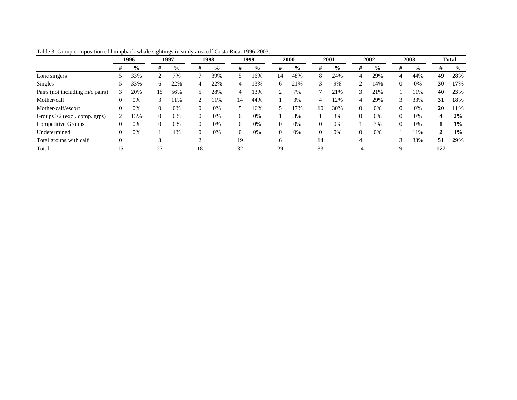|                                 | 1996 |               |          |               |                |               |          | 1997          |                | 1998          |          | 1999          |          | 2000          |          | 2001          |                         | 2002          | 2003 |  | <b>Total</b> |  |
|---------------------------------|------|---------------|----------|---------------|----------------|---------------|----------|---------------|----------------|---------------|----------|---------------|----------|---------------|----------|---------------|-------------------------|---------------|------|--|--------------|--|
|                                 | Ħ    | $\frac{6}{9}$ | #        | $\frac{0}{0}$ | #              | $\frac{0}{0}$ | Ħ        | $\frac{0}{0}$ | #              | $\frac{0}{0}$ | #        | $\frac{0}{0}$ | #        | $\frac{0}{0}$ | #        | $\frac{0}{0}$ | #                       | $\frac{0}{0}$ |      |  |              |  |
| Lone singers                    |      | 33%           | ി        | 7%            | $\mathbf{r}$   | 39%           |          | 16%           | 14             | 48%           | 8        | 24%           | 4        | 29%           | 4        | 44%           | 49                      | 28%           |      |  |              |  |
| Singles                         |      | 33%           | 6        | 22%           | 4              | 22%           | 4        | 13%           | 6              | 21%           |          | 9%            | 2        | 14%           | $\Omega$ | 0%            | 30                      | 17%           |      |  |              |  |
| Pairs (not including m/c pairs) |      | 20%           | 15       | 56%           |                | 28%           | 4        | 13%           | 2              | 7%            |          | 21%           | 3        | 21%           |          | 11%           | 40                      | 23%           |      |  |              |  |
| Mother/calf                     |      | 0%            | 3        | 11%           |                | 11%           | 14       | 44%           |                | 3%            | 4        | 12%           | 4        | 29%           |          | 33%           | 31                      | 18%           |      |  |              |  |
| Mother/calf/escort              |      | 0%            | $\Omega$ | 0%            | $\overline{0}$ | 0%            |          | 16%           |                | 17%           | 10       | 30%           | $\theta$ | 0%            | $\theta$ | 0%            | 20                      | 11%           |      |  |              |  |
| Groups $>2$ (excl. comp. grps)  |      | 13%           | $\Omega$ | 0%            | $\Omega$       | 0%            | $\Omega$ | 0%            |                | 3%            |          | 3%            | $\theta$ | 0%            | $\theta$ | 0%            | $\overline{\mathbf{4}}$ | 2%            |      |  |              |  |
| Competitive Groups              |      | 0%            | $\Omega$ | 0%            | $\Omega$       | 0%            | $\Omega$ | 0%            | $\overline{0}$ | 0%            | $\Omega$ | 0%            |          | 7%            | $\Omega$ | 0%            |                         | $1\%$         |      |  |              |  |
| Undetermined                    |      | 0%            |          | 4%            | $\Omega$       | 0%            | $\Omega$ | 0%            | $\mathbf{0}$   | 0%            | $\Omega$ | 0%            | $\theta$ | 0%            |          | 11%           | $\mathbf{2}$            | $1\%$         |      |  |              |  |
| Total groups with calf          |      |               | $\sim$   |               | ↑              |               | 19       |               | 6              |               | 14       |               | 4        |               | 2        | 33%           | 51                      | 29%           |      |  |              |  |
| Total                           |      |               | 27       |               | 18             |               | 32       |               | 29             |               | 33       |               | 14       |               | q        |               | 177                     |               |      |  |              |  |

Table 3. Group composition of humpback whale sightings in study area off Costa Rica, 1996-2003.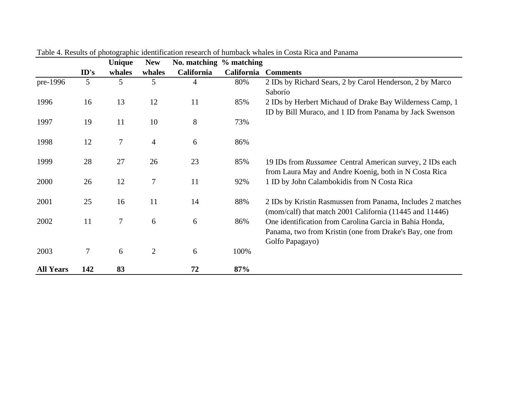|                  |                | Unique | <b>New</b>     | No. matching % matching |                   |                                                            |
|------------------|----------------|--------|----------------|-------------------------|-------------------|------------------------------------------------------------|
|                  | ID's           | whales | whales         | <b>California</b>       | <b>California</b> | <b>Comments</b>                                            |
| pre-1996         | 5              | 5      | 5              | 4                       | 80%               | 2 IDs by Richard Sears, 2 by Carol Henderson, 2 by Marco   |
|                  |                |        |                |                         |                   | Saborío                                                    |
| 1996             | 16             | 13     | 12             | 11                      | 85%               | 2 IDs by Herbert Michaud of Drake Bay Wilderness Camp, 1   |
|                  |                |        |                |                         |                   | ID by Bill Muraco, and 1 ID from Panama by Jack Swenson    |
| 1997             | 19             | 11     | 10             | 8                       | 73%               |                                                            |
|                  |                |        |                |                         |                   |                                                            |
| 1998             | 12             | $\tau$ | $\overline{4}$ | 6                       | 86%               |                                                            |
|                  |                |        |                |                         |                   |                                                            |
| 1999             | 28             | 27     | 26             | 23                      | 85%               | 19 IDs from Russamee Central American survey, 2 IDs each   |
|                  |                |        |                |                         |                   | from Laura May and Andre Koenig, both in N Costa Rica      |
| 2000             | 26             | 12     | $\tau$         | 11                      | 92%               | 1 ID by John Calambokidis from N Costa Rica                |
|                  |                |        |                |                         |                   |                                                            |
| 2001             | 25             | 16     | 11             | 14                      | 88%               | 2 IDs by Kristin Rasmussen from Panama, Includes 2 matches |
|                  |                |        |                |                         |                   | (mom/calf) that match 2001 California (11445 and 11446)    |
| 2002             | 11             | $\tau$ | 6              | 6                       | 86%               | One identification from Carolina Garcia in Bahia Honda,    |
|                  |                |        |                |                         |                   | Panama, two from Kristin (one from Drake's Bay, one from   |
|                  |                |        |                |                         |                   | Golfo Papagayo)                                            |
| 2003             | $\overline{7}$ | 6      | $\overline{2}$ | 6                       | 100%              |                                                            |
|                  |                |        |                |                         |                   |                                                            |
| <b>All Years</b> | 142            | 83     |                | 72                      | 87%               |                                                            |

Table 4. Results of photographic identification research of humback whales in Costa Rica and Panama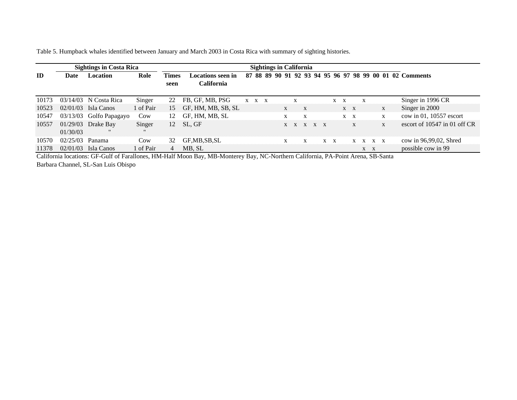Table 5. Humpback whales identified between January and March 2003 in Costa Rica with summary of sighting histories.

|       |          | <b>Sightings in Costa Rica</b> |              | <b>Sightings in California</b> |        |                                        |  |  |             |  |   |              |                 |              |     |                           |                           |                       |              |                                                          |
|-------|----------|--------------------------------|--------------|--------------------------------|--------|----------------------------------------|--|--|-------------|--|---|--------------|-----------------|--------------|-----|---------------------------|---------------------------|-----------------------|--------------|----------------------------------------------------------|
| ID    | Date     | <b>Location</b>                | Role         | <b>Times</b><br>seen           |        | Locations seen in<br><b>California</b> |  |  |             |  |   |              |                 |              |     |                           |                           |                       |              | 87 88 89 90 91 92 93 94 95 96 97 98 99 00 01 02 Comments |
| 10173 |          | $03/14/03$ N Costa Rica        | Singer       | 22                             |        | FB, GF, MB, PSG                        |  |  | $X$ $X$ $X$ |  |   | X            |                 |              | X X |                           | X                         |                       |              | Singer in 1996 CR                                        |
| 10523 |          | $02/01/03$ Isla Canos          | 1 of Pair    | 15.                            |        | GF, HM, MB, SB, SL                     |  |  |             |  | X | $\mathbf{x}$ |                 |              |     | $\mathbf{X}$ $\mathbf{X}$ |                           |                       | $\mathbf{X}$ | Singer in 2000                                           |
| 10547 |          | 03/13/03 Golfo Papagayo        | Cow          | 12                             |        | GF, HM, MB, SL                         |  |  |             |  |   |              | X               |              |     | $X \times X$              |                           |                       | X            | cow in $01$ , 10557 escort                               |
| 10557 |          | 01/29/03 Drake Bay<br>m        | Singer<br>15 | 12.                            | SL, GF |                                        |  |  |             |  |   |              | $X = X$ $X = X$ |              |     | X                         |                           |                       | X            | escort of $10547$ in 01 off CR                           |
|       | 01/30/03 |                                |              |                                |        |                                        |  |  |             |  |   |              |                 |              |     |                           |                           |                       |              |                                                          |
| 10570 | 02/25/03 | Panama                         | Cow          | 32                             |        | GF,MB,SB,SL                            |  |  |             |  | X |              | X               | $X \times X$ |     |                           |                           | $X \times X \times X$ |              | cow in 96,99,02, Shred                                   |
| 11378 |          | $02/01/03$ Isla Canos          | 1 of Pair    |                                | MB. SL |                                        |  |  |             |  |   |              |                 |              |     |                           | $\mathbf{x}$ $\mathbf{x}$ |                       |              | possible cow in 99                                       |

California locations: GF-Gulf of Farallones, HM-Half Moon Bay, MB-Monterey Bay, NC-Northern California, PA-Point Arena, SB-Santa Barbara Channel, SL-San Luis Obispo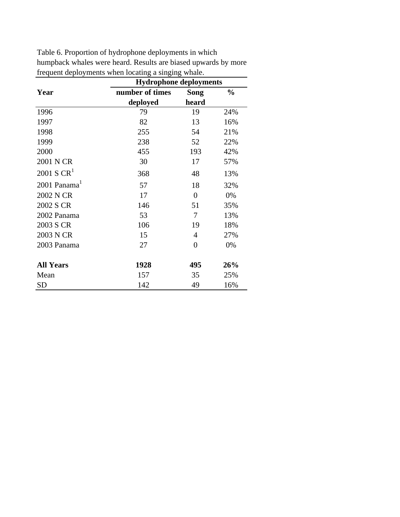|                  | <b>Hydrophone deployments</b> |                |               |
|------------------|-------------------------------|----------------|---------------|
| Year             | number of times               | <b>Song</b>    | $\frac{0}{0}$ |
|                  | deployed                      | heard          |               |
| 1996             | 79                            | 19             | 24%           |
| 1997             | 82                            | 13             | 16%           |
| 1998             | 255                           | 54             | 21%           |
| 1999             | 238                           | 52             | 22%           |
| 2000             | 455                           | 193            | 42%           |
| 2001 N CR        | 30                            | 17             | 57%           |
| $2001$ S $CR1$   | 368                           | 48             | 13%           |
| 2001 Panama      | 57                            | 18             | 32%           |
| 2002 N CR        | 17                            | $\overline{0}$ | 0%            |
| 2002 S CR        | 146                           | 51             | 35%           |
| 2002 Panama      | 53                            | 7              | 13%           |
| 2003 S CR        | 106                           | 19             | 18%           |
| 2003 N CR        | 15                            | 4              | 27%           |
| 2003 Panama      | 27                            | $\overline{0}$ | 0%            |
| <b>All Years</b> | 1928                          | 495            | 26%           |
| Mean             | 157                           | 35             | 25%           |
| <b>SD</b>        | 142                           | 49             | 16%           |

Table 6. Proportion of hydrophone deployments in which humpback whales were heard. Results are biased upwards by more frequent deployments when locating a singing whale.  $\overline{\phantom{a}}$